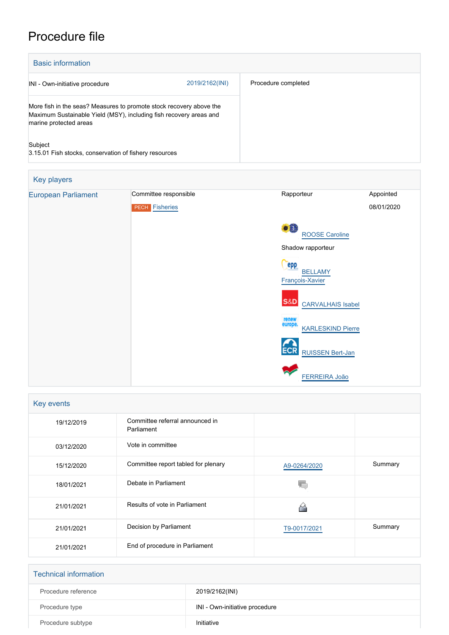# Procedure file

| <b>Basic information</b>                                                                                                                                            |                |                     |
|---------------------------------------------------------------------------------------------------------------------------------------------------------------------|----------------|---------------------|
| INI - Own-initiative procedure                                                                                                                                      | 2019/2162(INI) | Procedure completed |
| More fish in the seas? Measures to promote stock recovery above the<br>Maximum Sustainable Yield (MSY), including fish recovery areas and<br>marine protected areas |                |                     |
| Subject<br>3.15.01 Fish stocks, conservation of fishery resources                                                                                                   |                |                     |

| Key players                |                       |                                              |            |
|----------------------------|-----------------------|----------------------------------------------|------------|
| <b>European Parliament</b> | Committee responsible | Rapporteur                                   | Appointed  |
|                            | <b>PECH Fisheries</b> |                                              | 08/01/2020 |
|                            |                       | $\bullet$ 0<br><b>ROOSE Caroline</b>         |            |
|                            |                       | Shadow rapporteur                            |            |
|                            |                       | epp<br><b>BELLAMY</b>                        |            |
|                            |                       | François-Xavier                              |            |
|                            |                       | <b>S&amp;D</b><br><b>CARVALHAIS Isabel</b>   |            |
|                            |                       | renew<br>europe.<br><b>KARLESKIND Pierre</b> |            |
|                            |                       | <b>ECR</b><br><b>RUISSEN Bert-Jan</b>        |            |
|                            |                       | FERREIRA João                                |            |

| Key events |                                               |              |         |
|------------|-----------------------------------------------|--------------|---------|
| 19/12/2019 | Committee referral announced in<br>Parliament |              |         |
| 03/12/2020 | Vote in committee                             |              |         |
| 15/12/2020 | Committee report tabled for plenary           | A9-0264/2020 | Summary |
| 18/01/2021 | Debate in Parliament                          |              |         |
| 21/01/2021 | Results of vote in Parliament                 |              |         |
| 21/01/2021 | Decision by Parliament                        | T9-0017/2021 | Summary |
| 21/01/2021 | End of procedure in Parliament                |              |         |

| <b>Technical information</b> |                                |
|------------------------------|--------------------------------|
| Procedure reference          | 2019/2162(INI)                 |
| Procedure type               | INI - Own-initiative procedure |
| Procedure subtype            | Initiative                     |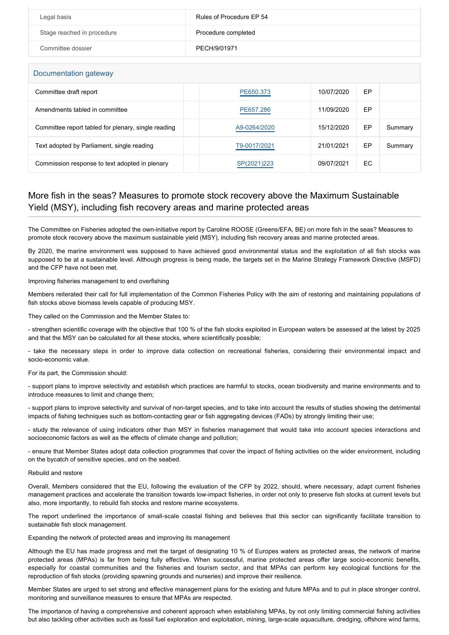| Legal basis                | Rules of Procedure EP 54 |
|----------------------------|--------------------------|
| Stage reached in procedure | Procedure completed      |
| Committee dossier          | PECH/9/01971             |

### Documentation gateway

| <b>Boodinghandi</b> galeway                         |              |            |    |         |
|-----------------------------------------------------|--------------|------------|----|---------|
| Committee draft report                              | PE650.373    | 10/07/2020 | EP |         |
| Amendments tabled in committee                      | PE657.286    | 11/09/2020 | EP |         |
| Committee report tabled for plenary, single reading | A9-0264/2020 | 15/12/2020 | EP | Summary |
| Text adopted by Parliament, single reading          | T9-0017/2021 | 21/01/2021 | EP | Summary |
| Commission response to text adopted in plenary      | SP(2021)223  | 09/07/2021 | EC |         |

## More fish in the seas? Measures to promote stock recovery above the Maximum Sustainable Yield (MSY), including fish recovery areas and marine protected areas

The Committee on Fisheries adopted the own-initiative report by Caroline ROOSE (Greens/EFA, BE) on more fish in the seas? Measures to promote stock recovery above the maximum sustainable yield (MSY), including fish recovery areas and marine protected areas.

By 2020, the marine environment was supposed to have achieved good environmental status and the exploitation of all fish stocks was supposed to be at a sustainable level. Although progress is being made, the targets set in the Marine Strategy Framework Directive (MSFD) and the CFP have not been met.

#### Improving fisheries management to end overfishing

Members reiterated their call for full implementation of the Common Fisheries Policy with the aim of restoring and maintaining populations of fish stocks above biomass levels capable of producing MSY.

They called on the Commission and the Member States to:

- strengthen scientific coverage with the objective that 100 % of the fish stocks exploited in European waters be assessed at the latest by 2025 and that the MSY can be calculated for all these stocks, where scientifically possible;

- take the necessary steps in order to improve data collection on recreational fisheries, considering their environmental impact and socio-economic value.

For its part, the Commission should:

- support plans to improve selectivity and establish which practices are harmful to stocks, ocean biodiversity and marine environments and to introduce measures to limit and change them;

- support plans to improve selectivity and survival of non-target species, and to take into account the results of studies showing the detrimental impacts of fishing techniques such as bottom-contacting gear or fish aggregating devices (FADs) by strongly limiting their use;

- study the relevance of using indicators other than MSY in fisheries management that would take into account species interactions and socioeconomic factors as well as the effects of climate change and pollution;

- ensure that Member States adopt data collection programmes that cover the impact of fishing activities on the wider environment, including on the bycatch of sensitive species, and on the seabed.

#### Rebuild and restore

Overall, Members considered that the EU, following the evaluation of the CFP by 2022, should, where necessary, adapt current fisheries management practices and accelerate the transition towards low-impact fisheries, in order not only to preserve fish stocks at current levels but also, more importantly, to rebuild fish stocks and restore marine ecosystems.

The report underlined the importance of small-scale coastal fishing and believes that this sector can significantly facilitate transition to sustainable fish stock management.

Expanding the network of protected areas and improving its management

Although the EU has made progress and met the target of designating 10 % of Europes waters as protected areas, the network of marine protected areas (MPAs) is far from being fully effective. When successful, marine protected areas offer large socio-economic benefits, especially for coastal communities and the fisheries and tourism sector, and that MPAs can perform key ecological functions for the reproduction of fish stocks (providing spawning grounds and nurseries) and improve their resilience.

Member States are urged to set strong and effective management plans for the existing and future MPAs and to put in place stronger control, monitoring and surveillance measures to ensure that MPAs are respected.

The importance of having a comprehensive and coherent approach when establishing MPAs, by not only limiting commercial fishing activities but also tackling other activities such as fossil fuel exploration and exploitation, mining, large-scale aquaculture, dredging, offshore wind farms,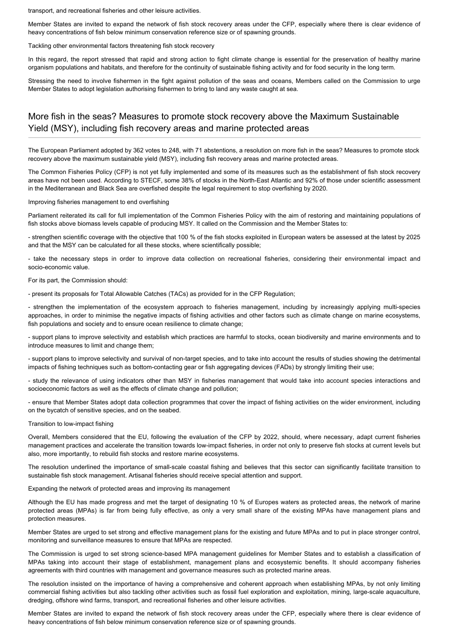transport, and recreational fisheries and other leisure activities.

Member States are invited to expand the network of fish stock recovery areas under the CFP, especially where there is clear evidence of heavy concentrations of fish below minimum conservation reference size or of spawning grounds.

Tackling other environmental factors threatening fish stock recovery

In this regard, the report stressed that rapid and strong action to fight climate change is essential for the preservation of healthy marine organism populations and habitats, and therefore for the continuity of sustainable fishing activity and for food security in the long term.

Stressing the need to involve fishermen in the fight against pollution of the seas and oceans, Members called on the Commission to urge Member States to adopt legislation authorising fishermen to bring to land any waste caught at sea.

## More fish in the seas? Measures to promote stock recovery above the Maximum Sustainable Yield (MSY), including fish recovery areas and marine protected areas

The European Parliament adopted by 362 votes to 248, with 71 abstentions, a resolution on more fish in the seas? Measures to promote stock recovery above the maximum sustainable yield (MSY), including fish recovery areas and marine protected areas.

The Common Fisheries Policy (CFP) is not yet fully implemented and some of its measures such as the establishment of fish stock recovery areas have not been used. According to STECF, some 38% of stocks in the North-East Atlantic and 92% of those under scientific assessment in the Mediterranean and Black Sea are overfished despite the legal requirement to stop overfishing by 2020.

Improving fisheries management to end overfishing

Parliament reiterated its call for full implementation of the Common Fisheries Policy with the aim of restoring and maintaining populations of fish stocks above biomass levels capable of producing MSY. It called on the Commission and the Member States to:

- strengthen scientific coverage with the objective that 100 % of the fish stocks exploited in European waters be assessed at the latest by 2025 and that the MSY can be calculated for all these stocks, where scientifically possible;

- take the necessary steps in order to improve data collection on recreational fisheries, considering their environmental impact and socio-economic value.

For its part, the Commission should:

- present its proposals for Total Allowable Catches (TACs) as provided for in the CFP Regulation;

- strengthen the implementation of the ecosystem approach to fisheries management, including by increasingly applying multi-species approaches, in order to minimise the negative impacts of fishing activities and other factors such as climate change on marine ecosystems, fish populations and society and to ensure ocean resilience to climate change;

- support plans to improve selectivity and establish which practices are harmful to stocks, ocean biodiversity and marine environments and to introduce measures to limit and change them;

- support plans to improve selectivity and survival of non-target species, and to take into account the results of studies showing the detrimental impacts of fishing techniques such as bottom-contacting gear or fish aggregating devices (FADs) by strongly limiting their use;

- study the relevance of using indicators other than MSY in fisheries management that would take into account species interactions and socioeconomic factors as well as the effects of climate change and pollution;

- ensure that Member States adopt data collection programmes that cover the impact of fishing activities on the wider environment, including on the bycatch of sensitive species, and on the seabed.

Transition to low-impact fishing

Overall, Members considered that the EU, following the evaluation of the CFP by 2022, should, where necessary, adapt current fisheries management practices and accelerate the transition towards low-impact fisheries, in order not only to preserve fish stocks at current levels but also, more importantly, to rebuild fish stocks and restore marine ecosystems.

The resolution underlined the importance of small-scale coastal fishing and believes that this sector can significantly facilitate transition to sustainable fish stock management. Artisanal fisheries should receive special attention and support.

Expanding the network of protected areas and improving its management

Although the EU has made progress and met the target of designating 10 % of Europes waters as protected areas, the network of marine protected areas (MPAs) is far from being fully effective, as only a very small share of the existing MPAs have management plans and protection measures.

Member States are urged to set strong and effective management plans for the existing and future MPAs and to put in place stronger control, monitoring and surveillance measures to ensure that MPAs are respected.

The Commission is urged to set strong science-based MPA management guidelines for Member States and to establish a classification of MPAs taking into account their stage of establishment, management plans and ecosystemic benefits. It should accompany fisheries agreements with third countries with management and governance measures such as protected marine areas.

The resolution insisted on the importance of having a comprehensive and coherent approach when establishing MPAs, by not only limiting commercial fishing activities but also tackling other activities such as fossil fuel exploration and exploitation, mining, large-scale aquaculture, dredging, offshore wind farms, transport, and recreational fisheries and other leisure activities.

Member States are invited to expand the network of fish stock recovery areas under the CFP, especially where there is clear evidence of heavy concentrations of fish below minimum conservation reference size or of spawning grounds.